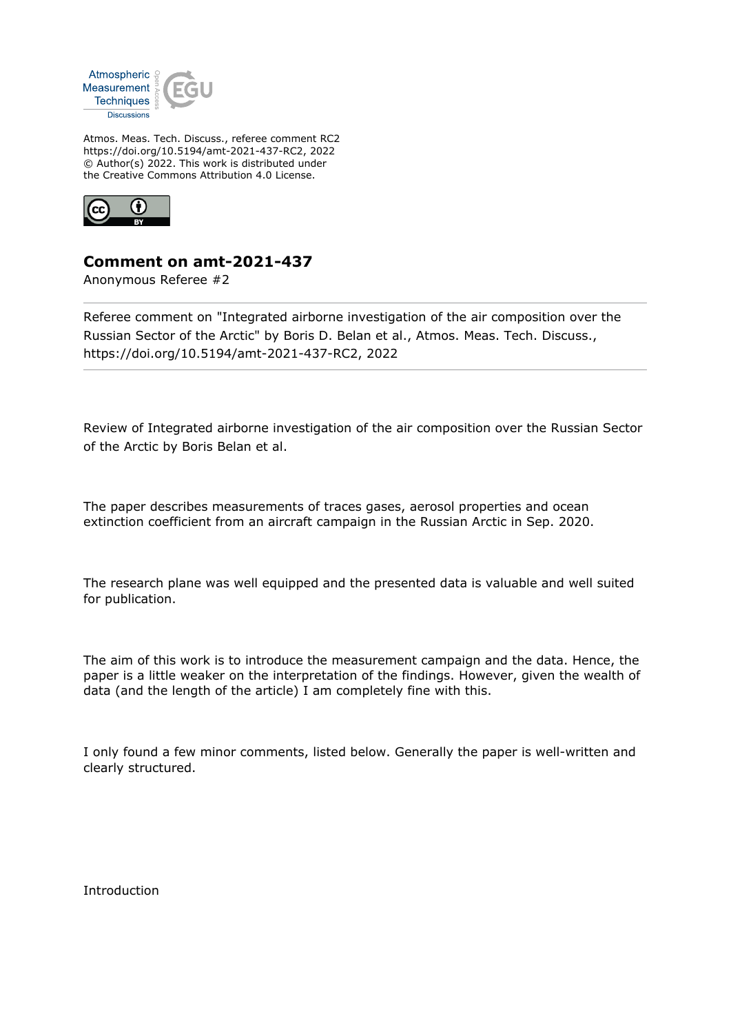

Atmos. Meas. Tech. Discuss., referee comment RC2 https://doi.org/10.5194/amt-2021-437-RC2, 2022 © Author(s) 2022. This work is distributed under the Creative Commons Attribution 4.0 License.



## **Comment on amt-2021-437**

Anonymous Referee #2

Referee comment on "Integrated airborne investigation of the air composition over the Russian Sector of the Arctic" by Boris D. Belan et al., Atmos. Meas. Tech. Discuss., https://doi.org/10.5194/amt-2021-437-RC2, 2022

Review of Integrated airborne investigation of the air composition over the Russian Sector of the Arctic by Boris Belan et al.

The paper describes measurements of traces gases, aerosol properties and ocean extinction coefficient from an aircraft campaign in the Russian Arctic in Sep. 2020.

The research plane was well equipped and the presented data is valuable and well suited for publication.

The aim of this work is to introduce the measurement campaign and the data. Hence, the paper is a little weaker on the interpretation of the findings. However, given the wealth of data (and the length of the article) I am completely fine with this.

I only found a few minor comments, listed below. Generally the paper is well-written and clearly structured.

Introduction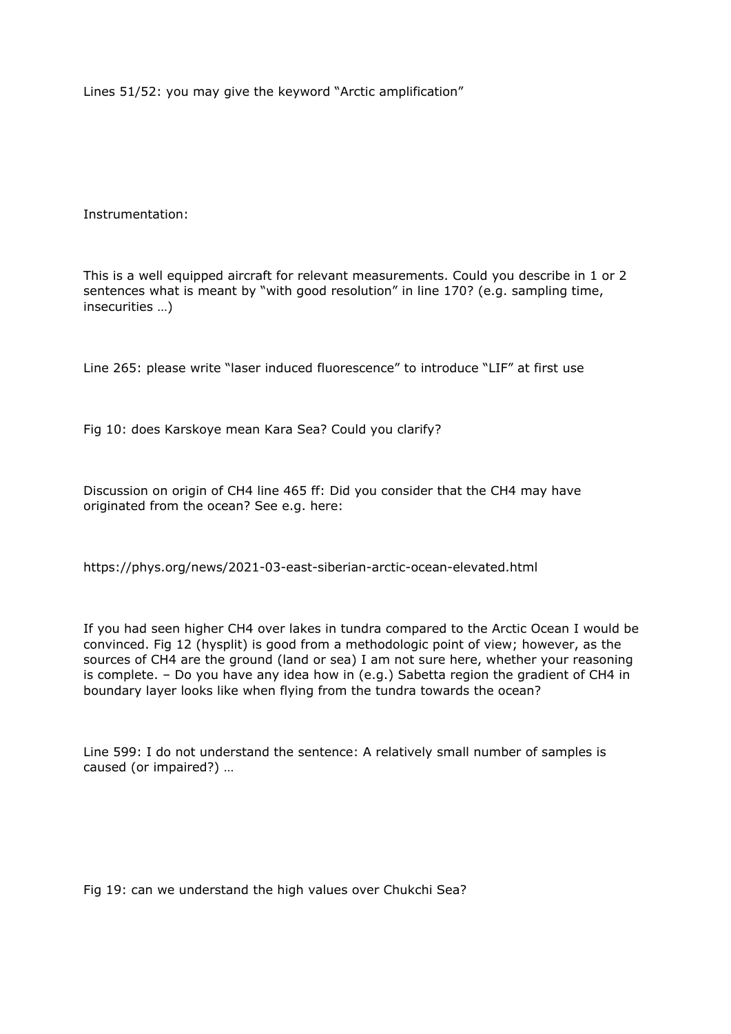Lines 51/52: you may give the keyword "Arctic amplification"

Instrumentation:

This is a well equipped aircraft for relevant measurements. Could you describe in 1 or 2 sentences what is meant by "with good resolution" in line 170? (e.g. sampling time, insecurities …)

Line 265: please write "laser induced fluorescence" to introduce "LIF" at first use

Fig 10: does Karskoye mean Kara Sea? Could you clarify?

Discussion on origin of CH4 line 465 ff: Did you consider that the CH4 may have originated from the ocean? See e.g. here:

https://phys.org/news/2021-03-east-siberian-arctic-ocean-elevated.html

If you had seen higher CH4 over lakes in tundra compared to the Arctic Ocean I would be convinced. Fig 12 (hysplit) is good from a methodologic point of view; however, as the sources of CH4 are the ground (land or sea) I am not sure here, whether your reasoning is complete. – Do you have any idea how in (e.g.) Sabetta region the gradient of CH4 in boundary layer looks like when flying from the tundra towards the ocean?

Line 599: I do not understand the sentence: A relatively small number of samples is caused (or impaired?) …

Fig 19: can we understand the high values over Chukchi Sea?